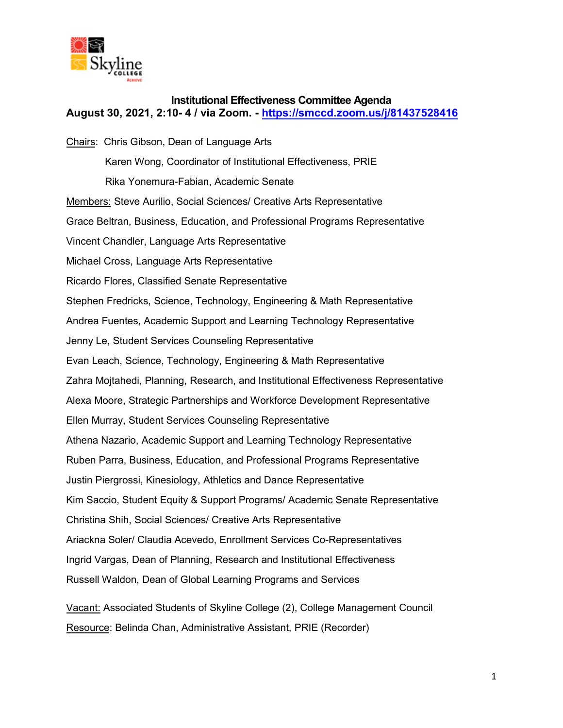

# **Institutional Effectiveness Committee Agenda August 30, 2021, 2:10- 4 / via Zoom. -<https://smccd.zoom.us/j/81437528416>**

Chairs: Chris Gibson, Dean of Language Arts Karen Wong, Coordinator of Institutional Effectiveness, PRIE Rika Yonemura-Fabian, Academic Senate Members: Steve Aurilio, Social Sciences/ Creative Arts Representative Grace Beltran, Business, Education, and Professional Programs Representative Vincent Chandler, Language Arts Representative Michael Cross, Language Arts Representative Ricardo Flores, Classified Senate Representative Stephen Fredricks, Science, Technology, Engineering & Math Representative Andrea Fuentes, Academic Support and Learning Technology Representative Jenny Le, Student Services Counseling Representative Evan Leach, Science, Technology, Engineering & Math Representative Zahra Mojtahedi, Planning, Research, and Institutional Effectiveness Representative Alexa Moore, Strategic Partnerships and Workforce Development Representative Ellen Murray, Student Services Counseling Representative Athena Nazario, Academic Support and Learning Technology Representative Ruben Parra, Business, Education, and Professional Programs Representative Justin Piergrossi, Kinesiology, Athletics and Dance Representative Kim Saccio, Student Equity & Support Programs/ Academic Senate Representative Christina Shih, Social Sciences/ Creative Arts Representative Ariackna Soler/ Claudia Acevedo, Enrollment Services Co-Representatives Ingrid Vargas, Dean of Planning, Research and Institutional Effectiveness Russell Waldon, Dean of Global Learning Programs and Services Vacant: Associated Students of Skyline College (2), College Management Council

Resource: Belinda Chan, Administrative Assistant, PRIE (Recorder)